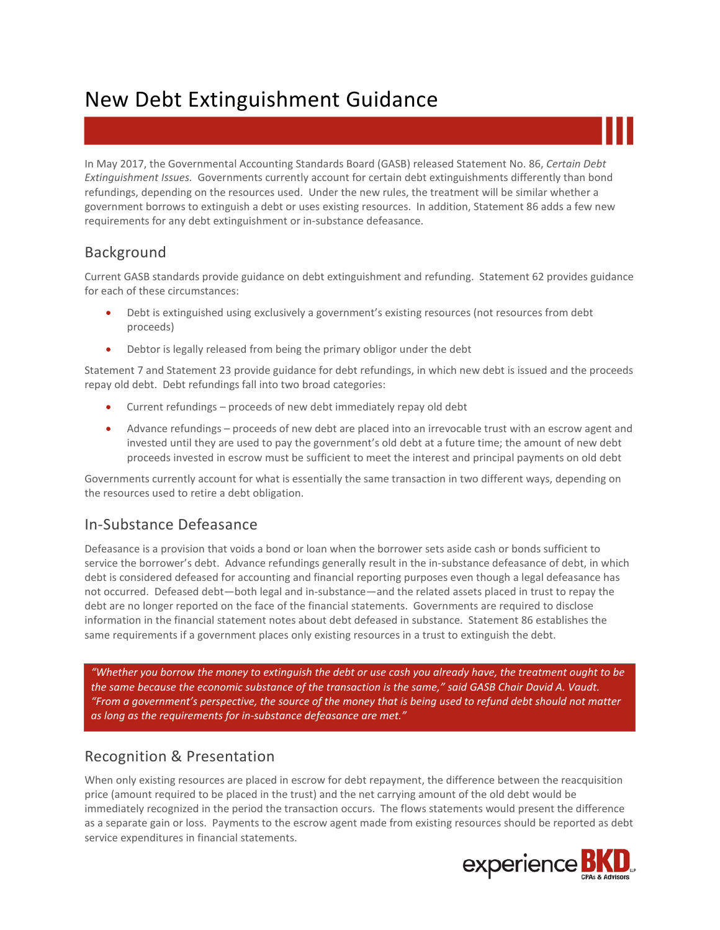# New Debt Extinguishment Guidance

In May 2017, the Governmental Accounting Standards Board (GASB) released Statement No. 86, *Certain Debt Extinguishment Issues.* Governments currently account for certain debt extinguishments differently than bond refundings, depending on the resources used. Under the new rules, the treatment will be similar whether a government borrows to extinguish a debt or uses existing resources. In addition, Statement 86 adds a few new requirements for any debt extinguishment or in-substance defeasance.

# Background

Current GASB standards provide guidance on debt extinguishment and refunding. Statement 62 provides guidance for each of these circumstances:

- Debt is extinguished using exclusively a government's existing resources (not resources from debt proceeds)
- Debtor is legally released from being the primary obligor under the debt

Statement 7 and Statement 23 provide guidance for debt refundings, in which new debt is issued and the proceeds repay old debt. Debt refundings fall into two broad categories:

- Current refundings proceeds of new debt immediately repay old debt
- Advance refundings proceeds of new debt are placed into an irrevocable trust with an escrow agent and invested until they are used to pay the government's old debt at a future time; the amount of new debt proceeds invested in escrow must be sufficient to meet the interest and principal payments on old debt

Governments currently account for what is essentially the same transaction in two different ways, depending on the resources used to retire a debt obligation.

# In-Substance Defeasance

Defeasance is a provision that voids a bond or loan when the borrower sets aside cash or bonds sufficient to service the borrower's debt. Advance refundings generally result in the in-substance defeasance of debt, in which debt is considered defeased for accounting and financial reporting purposes even though a legal defeasance has not occurred. Defeased debt—both legal and in-substance—and the related assets placed in trust to repay the debt are no longer reported on the face of the financial statements. Governments are required to disclose information in the financial statement notes about debt defeased in substance. Statement 86 establishes the same requirements if a government places only existing resources in a trust to extinguish the debt.

*"Whether you borrow the money to extinguish the debt or use cash you already have, the treatment ought to be the same because the economic substance of the transaction is the same," said GASB Chair David A. Vaudt. "From a government's perspective, the source of the money that is being used to refund debt should not matter as long as the requirements for in-substance defeasance are met."*

# Recognition & Presentation

When only existing resources are placed in escrow for debt repayment, the difference between the reacquisition price (amount required to be placed in the trust) and the net carrying amount of the old debt would be immediately recognized in the period the transaction occurs. The flows statements would present the difference as a separate gain or loss. Payments to the escrow agent made from existing resources should be reported as debt service expenditures in financial statements.